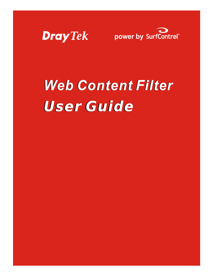



# **Web Content Filter User Guide**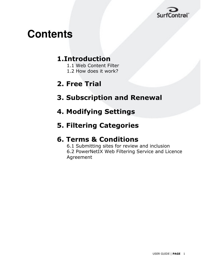

## **Contents**

### 1.Introduction

- 1.1 Web Content Filter
- 1.2 How does it work?

### 2. Free Trial

- 3. Subscription and Renewal
- **4. Modifying Settings**
- **5. Filtering Categories**

### **6. Terms & Conditions**

6.1 Submitting sites for review and inclusion 6.2 PowerNetIX Web Filtering Service and Licence Agreement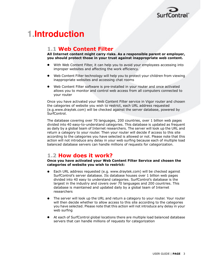

### **1.Introduction**

#### **1.1 Web Content Filter**

All Internet content might carry risks. As a responsible parent or employer, you should protect those in your trust against inappropriate web content.

- With Web Content Filter, it can help you to avoid your employees accessing into improper websites and affecting the work efficiency.
- Web Content Filter technology will help you to protect your children from viewing inappropriate websites and accessing chat rooms
- Web Content Filter software is pre-installed in your router and once activated allows you to monitor and control web access from all computers connected to vour router

Once you have activated your Web Content Filter service in Vigor router and chosen the categories of website you wish to restrict, each URL address requested (e.g.www.draytek.com) will be checked against the server database, powered by SurfControl.

The database covering over 70 languages, 200 countries, over 1 billion web pages divided into 40 easy-to-understand categories. This database is updated as frequent as daily by a global team of Internet researchers. The server will look up the URL and return a category to your router. Then your router will decide if access to this site according to the categories you have selected is allowed or not. Please note that this action will not introduce any delay in your web surfing because each of multiple load balanced database servers can handle millions of requests for categorization.

#### 1.2 How does it work?

Once you have activated your Web Content Filter Service and chosen the categories of website you wish to restrict:

- Each URL address requested (e.g. www.draytek.com) will be checked against SurfControl's server database. Its database houses over 1 billion web pages divided into 40 easy to understand categories. SurfControl's database is the largest in the industry and covers over 70 languages and 200 countries. This database is maintained and updated daily by a global team of Internet researchers
- The server will look up the URL and return a category to your router. Your router will then decide whether to allow access to this site according to the categories you have selected. Please note that this action will not introduce any delay in your web surfing
- At each of SurfControl global locations there are multiple load balanced database servers that can handle millions of requests for categorization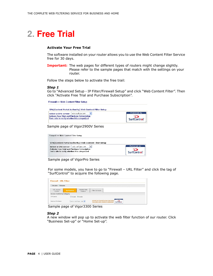### 2. Free Trial

#### **Activate Your Free Trial**

The software installed on your router allows you to use the Web Content Filter Service free for 30 days.

**Important:** The web pages for different types of routers might change slightly. Please refer to the sample pages that match with the settings on your router.

Follow the steps below to activate the free trail:

#### Step 1

Go to "Advanced Setup - IP Filter/Firewall Setup" and click "Web Content Filter". Then click "Activate Free Trial and Purchase Subscription".

Firewall >> Web Content Filter Setup



Sample page of Vigor2900V Series

| Firewall >> Web Content Filter Setup                                                                    |                    |
|---------------------------------------------------------------------------------------------------------|--------------------|
| CPA(Content Portal Authority) Web Content Filter Setup                                                  |                    |
| Select a CPA server: asia.surfcpa.com<br>$\checkmark$                                                   | Powered by         |
| <b>Activate Free Trial and Purchase Subscription</b><br>Test a site to verify whether it is categorized | <b>SurfControl</b> |
|                                                                                                         |                    |

Sample page of VigorPro Series

For some models, you have to go to "Firewall - URL Filter" and click the tag of "SurfControl" to acquire the following page.

| $O$ Disable $O$ Enable            |                    |                         |                 |
|-----------------------------------|--------------------|-------------------------|-----------------|
| <b>URL Access</b><br>Control      | <b>SurfControl</b> | Restrict Web<br>Feature | Filter Schedule |
| <b>Access Control by Category</b> |                    |                         |                 |
| CPA Server                        | O Disable © Enable |                         |                 |

Sample page of Vigor3300 Series

#### Step<sub>2</sub>

A new window will pop up to activate the web filter function of our router. Click "Business Set-up" or "Home Set-up".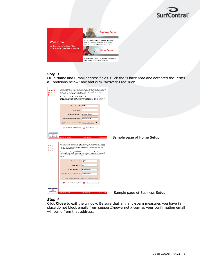

|                                                              | <b>Business Set-up</b>                                                                                                     |
|--------------------------------------------------------------|----------------------------------------------------------------------------------------------------------------------------|
| Welcome                                                      | STOP potential on-line threats with one,<br>easy to manage Web Filter and regain<br>control of your organisations network. |
| to the complete Web filter<br>solution for business or home. | <b>Home Set-up</b>                                                                                                         |
|                                                              | Full parental controls to protect your family<br>from inappropriate web content.                                           |

#### Step 3

Fill in Name and E-mail address fields. Click the "I have read and accepted the Terms & Conditions below" box and click "Activate Free Trial".

| $\gg$ Step 1<br>$\sum$ Step 2<br>$\sum$ Step 3 | By activating the easy to use software as part of your new router, you can<br>easily control where your family surf on the Web, ensuring safe Internet<br>access for all the family providing you with peace of mind, without<br>restricting your childrens natural curiosity.<br>To enable your 30 day FREE TRIAL or Purchase a subscription now,<br>please enter your name and e-mail address below. On receipt, you will be<br>sent a confirmation e-mail providing you with a link to activate your<br>licence. |                               |
|------------------------------------------------|---------------------------------------------------------------------------------------------------------------------------------------------------------------------------------------------------------------------------------------------------------------------------------------------------------------------------------------------------------------------------------------------------------------------------------------------------------------------------------------------------------------------|-------------------------------|
|                                                | draytek<br>First Name *                                                                                                                                                                                                                                                                                                                                                                                                                                                                                             |                               |
|                                                | mkt<br><b>Last Name</b>                                                                                                                                                                                                                                                                                                                                                                                                                                                                                             |                               |
|                                                | info@draytek.com<br>E-mail address *                                                                                                                                                                                                                                                                                                                                                                                                                                                                                |                               |
|                                                | Confirm E-mail address *<br>info@draytek.com                                                                                                                                                                                                                                                                                                                                                                                                                                                                        |                               |
|                                                | I have read and accepted the Terms & Conditions below                                                                                                                                                                                                                                                                                                                                                                                                                                                               |                               |
|                                                | >> Purchase Subscription >>> Activate Free Trial                                                                                                                                                                                                                                                                                                                                                                                                                                                                    |                               |
| Powered by                                     |                                                                                                                                                                                                                                                                                                                                                                                                                                                                                                                     |                               |
| SurfControl <sup>"</sup>                       | <b>Terms &amp; Conditions</b><br><b>Refund Policy</b><br><b>Contact Info</b>                                                                                                                                                                                                                                                                                                                                                                                                                                        | Sample page of Home Setup     |
|                                                |                                                                                                                                                                                                                                                                                                                                                                                                                                                                                                                     |                               |
| >> Step 1<br>> Step 2<br>$\sum$ Step 3         | Lost productivity, strangled network bandwidth, legal liability and imported<br>viral infection are just some of the potential threats from unmanaged Web<br>access. Activating your Web Filter will give you back the control of your<br>organisations network!                                                                                                                                                                                                                                                    |                               |
|                                                | To enable your 30 day FREE TRIAL or Purchase a subscription now.<br>please enter your name and e-mail address below. On receipt, you will be<br>sent a confirmation e-mail providing you with a link to activate your<br>licence.                                                                                                                                                                                                                                                                                   |                               |
|                                                | First Name <sup>*</sup><br>draytek                                                                                                                                                                                                                                                                                                                                                                                                                                                                                  |                               |
|                                                | mkt<br><b>Last Name</b>                                                                                                                                                                                                                                                                                                                                                                                                                                                                                             |                               |
|                                                | info@draytek.com<br>E-mail address *                                                                                                                                                                                                                                                                                                                                                                                                                                                                                |                               |
|                                                | info@draytek.com<br>Confirm E-mail address *                                                                                                                                                                                                                                                                                                                                                                                                                                                                        |                               |
|                                                | I have read and accepted the Terms & Conditions below                                                                                                                                                                                                                                                                                                                                                                                                                                                               |                               |
|                                                | Purchase Subscription >>>> Activate Free Trial                                                                                                                                                                                                                                                                                                                                                                                                                                                                      |                               |
| Powered by<br>SurfControl <sup>*</sup>         |                                                                                                                                                                                                                                                                                                                                                                                                                                                                                                                     |                               |
|                                                | Terms & Conditions<br><b>Refund Policy</b><br>Contact Info                                                                                                                                                                                                                                                                                                                                                                                                                                                          | Sample page of Business Setup |

**Step 4**<br>Click **Close** to exit the window. Be sure that any anti-spam measures you have in place do not block emails from support@powernetix.com as your confirmation email will come from that address.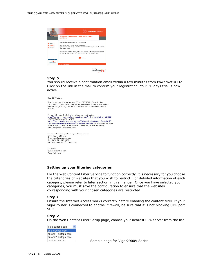

Hosted by<br>PowerNet

#### Step 5

You should receive a confirmation email within a few minutes from PowerNetIX Ltd. Click on the link in the mail to confirm your registration. Your 30 days trial is now active.

Dear Sir/Madam,

Thank you for registering for your 30 day FREE TRIAL. By activating Parental Controls as part of your set up, you can easily control where your<br>children surf, ensuring safe and worry free access to the wonders of the Internet

Please click on the link below to confirm your registration.<br>http://surfoontrol.powernetix.com/so2/others/trialconfirm.php?key=d81935<br>e8122f27b43b9ab65741e62927 eur.<br>2012 - http://surfcontrol.powernetix.com/sc2/others/trialconfirm.php?key=d8193<br>5e8122f27b43b9ab65741e62927&type=home\_thankyou> &type=home\_thankyou<br>You will need to return to the Parental Controls set-up page and decid which categories you wish to block.

Please contact us if you have any further questions: Office hours: 24 hour E-mail: noc@powernethk.com<br>Tel (USA): 714-418-4100 Tel (Hong Kong): (852) 2189-7222

Sincerely Subscriptions Manager<br>PowerNetIX Ltd.

#### Setting up your filtering categories

For the Web Content Filter Service to function correctly, it is necessary for you choose the categories of websites that you wish to restrict. For detailed information of each category, please refer to later section in this manual. Once you have selected your categories, you must save the configuration to ensure that the websites corresponding with your chosen categories are restricted.

#### Step 1

Ensure the Internet Access works correctly before enabling the content filter. If your vigor router is connected to another firewall, be sure that it is not blocking UDP port 9020.

#### Step<sub>2</sub>

On the Web Content Filter Setup page, choose your nearest CPA server from the list.



Sample page for Vigor2900V Series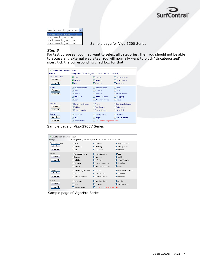

asia.surfcpa.com v asia surfopa com<br><mark>us surfopa com</mark> uk1.surfcpa.com<br>uk2.surfcpa.com

Sample page for Vigor3300 Series

#### Step 3

For test purposes, you may want to select all categories; then you should not be able to access any external web sites. You will normally want to block "Uncategorized" sites; tick the corresponding checkbox for that.

| Enable Web Content Filter<br><b>Groups</b>  |                                                                            | Categories (Tick categories to block, Untick to unblock)                                   |                                                                                    |
|---------------------------------------------|----------------------------------------------------------------------------|--------------------------------------------------------------------------------------------|------------------------------------------------------------------------------------|
| Child Protection<br>Select All<br>Clear All | $\nabla$ Chat<br>$\triangleright$ Gambling<br><b>⊽</b> Sex                 | $\nabla$ Criminal<br>$\blacksquare$ Hacking<br>Violence                                    | Orugs/Alcohol<br>Hate speech<br>■ Weapons                                          |
| Leisure<br>Select All<br>Clear All          | Advertisements<br>Games<br><b>Hobbies</b><br>Personals<br>$\square$ Sports | <b>OF</b> ntertainment<br>Glamour<br>$\Box$ Lifestyle<br>Photo Searches<br>Streaming Media | $\Box$ Food<br><b>Health</b><br>Motor Vehicles<br>$\Box$ Shopping<br>$\Box$ Travel |
| <b>Business</b><br>Select All<br>Clear All  | Computing/Internet<br>Politics<br>Remote proxies                           | Finance<br>Real Estate<br>Search Engine                                                    | Job Search/Career<br>Reference<br>Web Mail                                         |
| Others<br>Select All<br>Clear All           | $\Box$ Education<br><b>News</b><br>Usenet news                             | $\Box$ Hosting sites<br>$\Box$ Religion<br>Block all uncategorised sites                   | <b>Nid Sites</b><br><b>Sex Education</b>                                           |

Sample page of Vigor2900V Series

| Enable Web Content Filter<br>Groups         |                                                                                     | <b>Categories</b> (Tick categories to block, Untick to unblock)                                |                                                                                    |
|---------------------------------------------|-------------------------------------------------------------------------------------|------------------------------------------------------------------------------------------------|------------------------------------------------------------------------------------|
| Child Protection<br>Select All<br>Clear All | $\Box$ Chati<br>$\Box$ Gambling<br>$\Box$ Sex                                       | $\Box$ Criminal<br>$\Box$ Hacking<br><b>Ninlence</b>                                           | □ Drugs/Alcohol<br>Hate speech<br>Weapons                                          |
| Leisure<br>Select All<br>Clear All          | Advertisements<br><b>El Games</b><br>□ Hobbies<br>$\Box$ Personals<br>$\Box$ Sports | Entertainment<br><b>C</b> Glamour<br>$L$ Lifestyle<br><b>Photo Searches</b><br>Streaming Media | $\Box$ Food<br><b>Nealth</b><br>Motor Vehicles<br>$\Box$ Shopping<br>$\Box$ Travel |
| <b>Business</b><br>Select All<br>Clear All  | Computing/Internet<br><b>H</b> Politics<br>Remote proxies                           | $\Box$ Finance<br>$\Box$ Real Estate<br>Search Engine                                          | Job Search/Career<br>Reference<br>□ Web Mail                                       |
| Others<br>Select All<br>Clear All           | $\Box$ Education<br><b>News</b><br>Usenet news                                      | □ Hosting sites<br>$\Box$ Religion<br>Block all uncategorised sites                            | <b>□Kid Sites</b><br>□ Sex Education                                               |

Sample page of VigorPro Series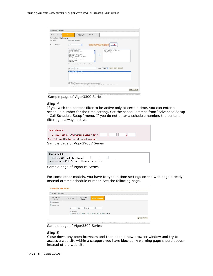| URL Access Control                | <b>SurfControl</b>                                              | Restrict Web<br>Feature                                                                                                                                                        | Filter Schedule                                                                                                                                                                                                                                                                                       |                             |                                             |  |
|-----------------------------------|-----------------------------------------------------------------|--------------------------------------------------------------------------------------------------------------------------------------------------------------------------------|-------------------------------------------------------------------------------------------------------------------------------------------------------------------------------------------------------------------------------------------------------------------------------------------------------|-----------------------------|---------------------------------------------|--|
| <b>Access Control by Category</b> |                                                                 |                                                                                                                                                                                |                                                                                                                                                                                                                                                                                                       |                             |                                             |  |
| CPA Server                        | O Disable © Enable                                              |                                                                                                                                                                                |                                                                                                                                                                                                                                                                                                       |                             |                                             |  |
| Select a CPA Server               |                                                                 | asia.surfcpa.com v                                                                                                                                                             | Activate Free Trial and Purchase Subscription<br>Test a site to verify whether it is categorized                                                                                                                                                                                                      |                             | Powered by<br>ာ<br>SurfControl <sup>*</sup> |  |
|                                   |                                                                 | Permitted Categories List:                                                                                                                                                     |                                                                                                                                                                                                                                                                                                       | Forbidden Categories List:  |                                             |  |
|                                   | Advertisements<br>Chat<br>Education<br>Food & Drink<br>Gambling | Arts & Entertainment<br>Computing & Internet<br>Criminal Skills<br>Drugs: Alcohol & Tobacco<br>Finance & Investment<br>"Categories are downloaded from the Surfcontrol Server. | $\lceil \cdot \rceil$                                                                                                                                                                                                                                                                                 | Kids Sites<br>Sex Education | Adult/Sexually Explicit                     |  |
|                                   | URL: tw.yahoo.com                                               |                                                                                                                                                                                |                                                                                                                                                                                                                                                                                                       | Option: Allow v             | Add<br>Edit<br>Delete                       |  |
|                                   | Exception URL List:                                             |                                                                                                                                                                                |                                                                                                                                                                                                                                                                                                       |                             |                                             |  |
|                                   | Examples of URL:                                                | tw.vahoo.com (Allow)<br>www.hinet.net (Deny)                                                                                                                                   |                                                                                                                                                                                                                                                                                                       |                             |                                             |  |
|                                   |                                                                 |                                                                                                                                                                                | "www.abc.org" all items under this host and the host itself will be considered.<br>"www.abc.org/direct/" all items under this host's particular directory, excluding the directory itself, will be considered.<br>"www.abc.org/page.htm" only this particular item (page or file) will be considered. |                             |                                             |  |

Sample page of Vigor 3300 Series

#### Step 4

If you wish the content filter to be active only at certain time, you can enter a schedule number for the time setting. Set the schedule times from "Advanced Setup - Call Schedule Setup" menu. If you do not enter a schedule number, the content filtering is always active.

| <b>Time Schedule</b>                                    |
|---------------------------------------------------------|
| Scheduler defined in Call Schedule Setup (1-15) =>      |
| Note: Action and Idle Timeout settings will be ignored. |
| Sample page of Vigor2900V Series                        |

| Time Schedule                                           |
|---------------------------------------------------------|
| Index(1-15) in Schedule Setup:                          |
| Note: Action and Idle Timeout settings will be ignored. |

Sample page of VigorPro Series

For some other models, you have to type in time settings on the web page directly instead of time schedule number. See the following page.

| SurfControl | Restrict Web<br>Feature | <b>Filter Schedule</b>                               |
|-------------|-------------------------|------------------------------------------------------|
|             |                         |                                                      |
|             |                         |                                                      |
| R           |                         | $\pm 00$                                             |
|             |                         |                                                      |
|             |                         | □ All Days □ Sun ■ Mon ■ Tue ■ Wed ■ Thu ■ Fri □ Sat |
|             |                         | $\cdot$ 00<br>T <sub>0</sub> 18<br>Day of Week:      |

Sample page of Vigor3300 Series

#### Step 5

Close down any open browsers and then open a new browser window and try to access a web site within a category you have blocked. A warning page should appear instead of the web site.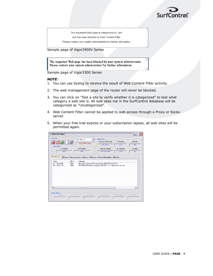

The requested Web page is categorized as "sex"

and has been blocked by Web Content Filter.

Please contact your system administrator for further information.

Sample page of Vigor2900V Series

The requested Web page has been blocked by your system administrator. Please contact your system administrator for further information.

Sample page of Vigor3300 Series

#### **NOTE:**

- 1. You can use Syslog to receive the result of Web Content Filter activity.
- 2. The web management page of the router will never be blocked.
- 3. You can click on "Test a site to verify whether it is categorized" to test what category a web site is. All web sites not in the SurfControl database will be categorized as "Uncategorized".
- 4. Web Content Filter cannot be applied to web access through a Proxy or Socks server.
- 5. When your free trial expires or your subscription lapses, all web sites will be permitted again.

| <b>/// DrayTek Syslog</b>                          |                |                                                                       |                                                                                                                              |                                               | a                         |
|----------------------------------------------------|----------------|-----------------------------------------------------------------------|------------------------------------------------------------------------------------------------------------------------------|-----------------------------------------------|---------------------------|
| Controls<br><b>LAN Status</b><br><b>TX Packets</b> |                | 192.168.1.1<br>$\checkmark$<br>Vigor2900V series<br><b>RX Packets</b> | <b>WAN Status</b><br>Gateway IP (Fixed)<br>172.16.3.1<br>WAN IP (Fixed)                                                      | <b>TX Packets</b><br>410<br><b>RX Packets</b> | RX Rate<br>254<br>TX Rate |
| 1228<br>Firewall Log                               |                | 958                                                                   | 172, 16, 3, 100<br>VPN Log User Access Log Call Log WAN Log Network Infomation Net State                                     | 1249                                          | 16                        |
| Time                                               | Host           | Message                                                               |                                                                                                                              |                                               |                           |
| Jan 100:12:04<br>Jan 100:11:59                     | Vigor<br>Vigor |                                                                       | Received a Unicast ARP request from 00:02:B3:DA:87:CA<br>Web-Filter Block [sex category], 192.168.1.10 -> http://www.sex.com |                                               |                           |
|                                                    |                |                                                                       |                                                                                                                              |                                               |                           |
|                                                    |                |                                                                       |                                                                                                                              |                                               |                           |
|                                                    |                | <b>III</b>                                                            |                                                                                                                              |                                               | $\,$                      |
| $\left  \right $<br><b>ADSL Status</b><br>Mode     | State          | Up Speed                                                              | Down Speed                                                                                                                   | SNR Margin                                    | Loop Att                  |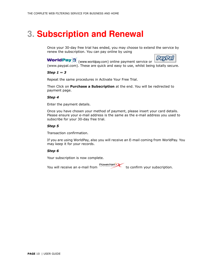### **3. Subscription and Renewal**

Once your 30-day free trial has ended, you may choose to extend the service by renew the subscription. You can pay online by using

PavPa

**WorldPay** (www.worldpay.com) online payment service or (www.paypal.com). These are quick and easy to use, whilst being totally secure.

#### Step 1  $\sim$  3

Repeat the same procedures in Activate Your Free Trial.

Then Click on Purchase a Subscription at the end. You will be redirected to payment page.

#### Step 4

Enter the payment details.

Once you have chosen your method of payment, please insert your card details. Please ensure your e-mail address is the same as the e-mail address you used to subscribe for your 30-day free trial.

#### Step 5

Transaction confirmation.

If you are using WorldPay, also you will receive an E-mail coming from WorldPay. You may keep it for your records.

#### Step 6

Your subscription is now complete.

You will receive an e-mail from

PowerNet: to confirm your subscription.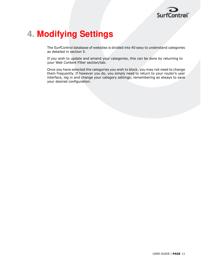

### **4. Modifying Settings**

The SurfControl database of websites is divided into 40 easy to understand categories as detailed in section 5.

If you wish to update and amend your categories, this can be done by returning to your Web Content Filter section/tab.

Once you have selected the categories you wish to block, you may not need to change them frequently. If however you do, you simply need to return to your router's user interface, log in and change your category settings, remembering as always to save your desired configuration.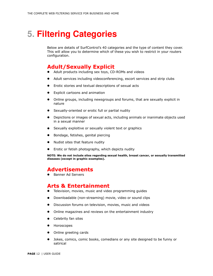### **5. Filtering Categories**

Below are details of SurfControl's 40 categories and the type of content they cover. This will allow you to determine which of these you wish to restrict in your routers configuration.

#### **Adult/Sexually Explicit**

- Adult products including sex toys, CD-ROMs and videos
- Adult services including videoconferencing, escort services and strip clubs
- Erotic stories and textual descriptions of sexual acts
- **Explicit cartoons and animation**
- Online groups, including newsgroups and forums, that are sexually explicit in nature
- Sexually-oriented or erotic full or partial nudity
- Depictions or images of sexual acts, including animals or inanimate objects used in a sexual manner
- Sexually exploitive or sexually violent text or graphics
- Bondage, fetishes, genital piercing
- Nudist sites that feature nudity
- Erotic or fetish photography, which depicts nudity

NOTE: We do not include sites regarding sexual health, breast cancer, or sexually transmitted diseases (except in graphic examples).

#### **Advertisements**

• Banner Ad Servers

#### **Arts & Entertainment**

- Television, movies, music and video programming guides  $\bullet$
- Downloadable (non-streaming) movie, video or sound clips
- Discussion forums on television, movies, music and videos
- Online magazines and reviews on the entertainment industry
- Celebrity fan sites
- Horoscopes
- Online greeting cards
- Jokes, comics, comic books, comedians or any site designed to be funny or satirical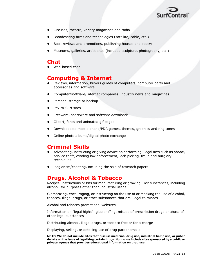

- Circuses, theatre, variety magazines and radio
- Broadcasting firms and technologies (satellite, cable, etc.)
- Book reviews and promotions, publishing houses and poetry
- Museums, galleries, artist sites (included sculpture, photography, etc.)

#### Chat

Web-based chat

#### **Computing & Internet**

- Reviews, information, buyers quides of computers, computer parts and accessories and software
- Computer/software/Internet companies, industry news and magazines
- Personal storage or backup
- Pay-to-Surf sites
- Freeware, shareware and software downloads
- Clipart, fonts and animated gif pages
- Downloadable mobile phone/PDA games, themes, graphics and ring tones
- Online photo albums/digital photo exchange

### **Criminal Skills**

- Advocating, instructing or giving advice on performing illegal acts such as phone, service theft, evading law enforcement, lock-picking, fraud and burglary techniques
- Plagiarism/cheating, including the sale of research papers

#### **Drugs, Alcohol & Tobacco**

Recipes, instructions or kits for manufacturing or growing illicit substances, including alcohol, for purposes other than industrial usage

Glamorizing, encouraging, or instructing on the use of or masking the use of alcohol, tobacco, illegal drugs, or other substances that are illegal to minors

Alcohol and tobacco promotional websites

Information on "legal highs": glue sniffing, misuse of prescription drugs or abuse of other legal substances

Distributing alcohol, illegal drugs, or tobacco free or for a charge

Displaying, selling, or detailing use of drug paraphernalia

NOTE: We do not include sites that discuss medicinal drug use, industrial hemp use, or public debate on the issue of legalizing certain drugs. Nor do we include sites sponsored by a public or private agency that provides educational information on drug use.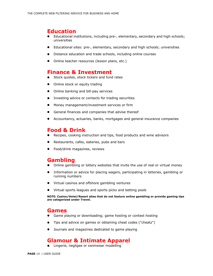#### **Education**

- Educational institutions, including pre-, elementary, secondary and high schools; universities
- Educational sites: pre-, elementary, secondary and high schools; universities
- Distance education and trade schools, including online courses
- Online teacher resources (lesson plans, etc.)

#### **Finance & Investment**

- Stock quotes, stock tickers and fund rates
- Online stock or equity trading  $\bullet$
- Online banking and bill-pay services
- Investing advice or contacts for trading securities
- Money management/investment services or firm
- General finances and companies that advise thereof
- Accountancy, actuaries, banks, mortgages and general insurance companies

#### **Food & Drink**

- Recipes, cooking instruction and tips, food products and wine advisors
- Restaurants, cafes, eateries, pubs and bars
- Food/drink magazines, reviews

#### Gambling

- Online gambling or lottery websites that invite the use of real or virtual money
- Information or advice for placing wagers, participating in lotteries, gambling or running numbers
- Virtual casinos and offshore gambling ventures
- Virtual sports leagues and sports picks and betting pools

NOTE: Casino/Hotel/Resort sites that do not feature online gambling or provide gaming tips are categorized under Travel.

#### Games

- Game playing or downloading; game hosting or contest hosting
- Tips and advice on games or obtaining cheat codes ("cheatz")
- Journals and magazines dedicated to game playing  $\bullet$

#### **Glamour & Intimate Apparel**

• Lingerie, negligee or swimwear modelling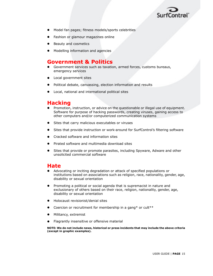

- Model fan pages; fitness models/sports celebrities
- Fashion or glamour magazines online
- Beauty and cosmetics
- Modelling information and agencies

#### **Government & Politics**

- Government services such as taxation, armed forces, customs bureaus, emergency services
- Local government sites
- Political debate, canvassing, election information and results
- Local, national and international political sites

#### **Hacking**

- Promotion, instruction, or advice on the questionable or illegal use of equipment. Software for purpose of hacking passwords, creating viruses, gaining access to other computers and/or computerized communication systems
- Sites that carry malicious executables or viruses
- Sites that provide instruction or work-around for SurfControl's filtering software
- Cracked software and information sites
- Pirated software and multimedia download sites
- Sites that provide or promote parasites, including Spyware, Adware and other unsolicited commercial software

#### Hate

- Advocating or inciting degradation or attack of specified populations or institutions based on associations such as religion, race, nationality, gender, age, disability or sexual orientation
- Promoting a political or social agenda that is supremacist in nature and exclusionary of others based on their race, religion, nationality, gender, age, disability or sexual orientation
- Holocaust revisionist/denial sites
- Coercion or recruitment for membership in a gang\* or cult\*\*
- Militancy, extremist
- Flagrantly insensitive or offensive material

NOTE: We do not include news, historical or press incidents that may include the above criteria (except in graphic examples).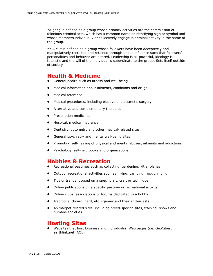\*A gang is defined as a group whose primary activities are the commission of felonious criminal acts, which has a common name or identifying sign or symbol and whose members individually or collectively engage in criminal activity in the name of the group.

\*\* A cult is defined as a group whose followers have been deceptively and manipulatively recruited and retained through undue influence such that followers' personalities and behavior are altered. Leadership is all-powerful, ideology is totalistic and the will of the individual is subordinate to the group. Sets itself outside of society.

#### **Health & Medicine**

- General health such as fitness and well-being
- Medical information about ailments, conditions and drugs
- Medical reference
- Medical procedures, including elective and cosmetic surgery
- Alternative and complementary therapies
- Prescription medicines
- Hospital, medical insurance
- Dentistry, optometry and other medical-related sites
- General psychiatry and mental well-being sites
- Promoting self-healing of physical and mental abuses, ailments and addictions
- Psychology, self-help books and organizations

#### **Hobbies & Recreation**

- Recreational pastimes such as collecting, gardening, kit airplanes
- Outdoor recreational activities such as hiking, camping, rock climbing
- Tips or trends focused on a specific art, craft or technique
- Online publications on a specific pastime or recreational activity
- Online clubs, associations or forums dedicated to a hobby
- Traditional (board, card, etc.) games and their enthusiasts
- Animal/pet related sites, including breed-specific sites, training, shows and humane societies

#### **Hosting Sites**

Websites that host business and individualsi! Web pages (i.e. GeoCities, earthlink.net, AOL)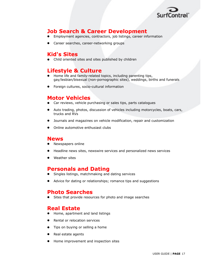

#### **Job Search & Career Development**

- Employment agencies, contractors, job listings, career information
- Career searches, career-networking groups

#### **Kid's Sites**

• Child oriented sites and sites published by children

#### **Lifestyle & Culture**

- Home life and family-related topics, including parenting tips, gay/lesbian/bisexual (non-pornographic sites), weddings, births and funerals
- Foreign cultures, socio-cultural information

#### **Motor Vehicles**

- Car reviews, vehicle purchasing or sales tips, parts catalogues
- Auto trading, photos, discussion of vehicles including motorcycles, boats, cars, trucks and RVs
- Journals and magazines on vehicle modification, repair and customization
- Online automotive enthusiast clubs

#### News

- Newspapers online
- Headline news sites, newswire services and personalized news services
- Weather sites

#### **Personals and Dating**

- Singles listings, matchmaking and dating services
- Advice for dating or relationships; romance tips and suggestions

#### **Photo Searches**

Sites that provide resources for photo and image searches

#### **Real Estate**

- Home, apartment and land listings
- Rental or relocation services
- Tips on buying or selling a home
- Real estate agents
- Home improvement and inspection sites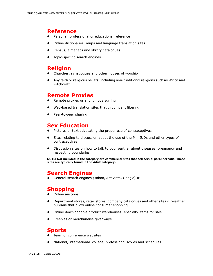#### **Reference**

- Personal, professional or educational reference
- Online dictionaries, maps and language translation sites
- Census, almanacs and library catalogues
- Topic-specific search engines

#### **Religion**

- Churches, synagogues and other houses of worship
- Any faith or religious beliefs, including non-traditional religions such as Wicca and witchcraft

#### **Remote Proxies**

- Remote proxies or anonymous surfing
- Web-based translation sites that circumvent filtering
- Peer-to-peer sharing

#### **Sex Education**

- Pictures or text advocating the proper use of contraceptives
- Sites relating to discussion about the use of the Pill, IUDs and other types of contraceptives
- Discussion sites on how to talk to your partner about diseases, pregnancy and respecting boundaries

NOTE: Not included in the category are commercial sites that sell sexual paraphernalia. These sites are typically found in the Adult category.

#### **Search Engines**

· General search engines (Yahoo, AltaVista, Google) iE

#### **Shopping**

- Online auctions
- Department stores, retail stores, company catalogues and other sites iE Weather bureaus that allow online consumer shopping
- Online downloadable product warehouses; specialty items for sale
- Freebies or merchandise giveaways

#### Sports

- Team or conference websites
- National, international, college, professional scores and schedules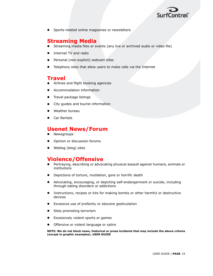

Sports-related online magazines or newsletters

#### **Streaming Media**

- Streaming media files or events (any live or archived audio or video file)
- Internet TV and radio
- Personal (non-explicit) webcam sites
- Telephony sites that allow users to make calls via the Internet

#### Travel

- Airlines and flight booking agencies
- Accommodation information
- Travel package listings
- City guides and tourist information
- Weather bureau
- Car Rentals

#### **Usenet News/Forum**

- Newsgroups
- Opinion or discussion forums
- Weblog (blog) sites

#### **Violence/Offensive**

- Portraying, describing or advocating physical assault against humans, animals or institutions
- Depictions of torture, mutilation, gore or horrific death
- Advocating, encouraging, or depicting self-endangerment or suicide, including through eating disorders or addictions
- Instructions, recipes or kits for making bombs or other harmful or destructive devices
- Excessive use of profanity or obscene gesticulation
- Sites promoting terrorism
- Excessively violent sports or games
- Offensive or violent language or satire

NOTE: We do not block news, historical or press incidents that may include the above criteria (except in graphic examples). USER GUIDE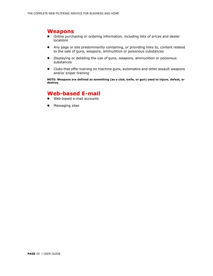#### **Weapons**

- Online purchasing or ordering information, including lists of prices and dealer locations
- Any page or site predominantly containing, or providing links to, content related to the sale of guns, weapons, ammunition or poisonous substances
- Displaying or detailing the use of guns, weapons, ammunition or poisonous  $\bullet$ substances
- Clubs that offer training on machine guns, automatics and other assault weapons  $\bullet$ and/or sniper training

NOTE: Weapons are defined as something (as a club, knife, or gun) used to injure, defeat, or destroy.

#### **Web-based E-mail**

- Web-based e-mail accounts
- Messaging sites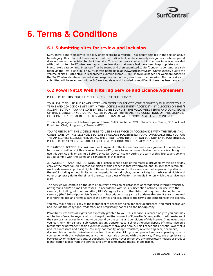

### **6. Terms & Conditions**

#### 6.1 Submitting sites for review and inclusion

SurfControl adhere closely to its policy of categorizing a website. This is fully detailed in the section above by category. Its important to remember that the SurfControl database merely categorizes a site for you, it does not make the decision to block that site. This is the user's choice within the user interface provided with their router. SurfControl are happy to review sites that users feel have been inappropriately or inaccurately categorized. Sites can first be tested and then submitted to SurfControli¦s content research team via the Test-a-site link on SurfControls home page at www.surfcontrol.com. Unfortunately due to the volume of sites SurfControli¦s researchers examine (some 35,000 individual pages per week are added to the SurfControl database) an individual response cannot be given to each submission. Normally sites submitted will be examined within 2-5 working days and included or modified if there has been any error.

#### **6.2 PowerNetIX Web Filtering Service and Licence Agreement**

PLEASE READ THIS CAREFULLY BEFORE YOU USE OUR SERVICE.

YOUR RIGHT TO USE THE POWERNETIX WEB FILTERING SERVICE (THE "SERVICE") IS SUBJECT TO THE TERMS AND CONDITIONS SET OUT IN THIS LICENCE AGREEMENT ("LICENCE"). BY CLICKING ON THE "I ACCEPT" BUTTON, YOU ARE CONSENTING TO BE BOUND BY THE FOLLOWING TERMS AND CONDITIONS OF THIS LICENCE. IF YOU DO NOT AGREE TO ALL OF THE TERMS AND CONDITIONS OF THIS LICENCE, CLICK ON THE "I DISAGREE" BUTTON AND THE INSTALLATION PROCESS WILL NOT CONTINUE.

This is a legal agreement between you and PowerNetIX Limited at 22/F., China Online Centre, 333 Lockhart Road, WanChai, Hong Kong ("PowerNetIX").

YOU AGREE TO PAY THE LICENCE FEES TO USE THE SERVICE IN ACCORDANCE WITH THE TERMS AND CONDITIONS OF THIS LICENCE. SECTION 14 ALLOWS POWERNETIX TO AUTOMATICALLY BILL YOU FOR THE APPLICABLE LICENCE FEES USING THE CREDIT CARD INFORMATION YOU SUPPLY TO POWERNETIX. PLEASE READ SECTION 14 CAREFULLY BEFORE CLICKING ON THE "I ACCEPT" BUTTON.

2. GRANT OF LICENCE. In consideration of payment of the licence fees and your agreement to abide by the terms and conditions of this licence, PowerNetIX grants to you a non-exclusive, non-transferable right to use this service only on a single SoHo Device (a "Device") solely during the term of this licence and so long as you comply with the terms and conditions of this licence.

3. OWNERSHIP AND RESTRICTIONS. This licence is not a sale of the material provided by this site or any copy of the material. An express condition of this licence is that PowerNetIX and its licensors retain all worldwide ownership of and rights, title and interest in and to the service and all copies and portions thereof, including without limitation, all copyrights, moral rights, trademark rights, trade secret rights and other proprietary rights therein and thereto, regardless of the form or media in or on which the service may exist.

The service will contain on the date of delivery a version of databases of categorized Internet websites, newsgroups and/or e-mail addresses, in accordance with your subscription options, for use with the service, including, without limitation, URL Category Lists or other lists that may be contained in the service, (the "Subscription Lists") and such Subscription Lists (and all updates thereto, if any) is deemed incorporated into and forms a part of the service and is subject to the terms and conditions of this licence.

You may make one (1) copy of the material of this website solely for backup purposes. You must reproduce and include the copyright, trademark and proprietary notices on the backup copy.

PowerNetIX reserves all rights not expressly granted to you. This service is licenced only to you and may not be transferred to anyone without the prior written consent of PowerNetIX. Any authorized transferee of the service shall agree in writing to be bound by the terms and conditions of this licence. In no event may you loan, rent, time-share, sublicence, assign, transfer lease, sell or otherwise dispose of the service on a temporary or permanent basis except as expressly provided herein. This licence shall benefit PowerNetIX and its successors and assigns. You may not modify, adapt, translate, reverse engineer, decompile, disassemble or create derivative works from the service. All logos and product names appearing on or in connection with this website and any other materials provided with the service, if any, are proprietary to PowerNetIX or its licensors and/or suppliers. You agree never to remove any proprietary notices or product identification labels from the service and any accompanying media, if applicable.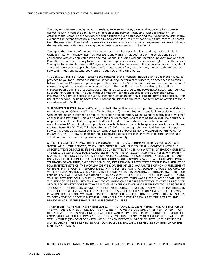You may not disclose, modify, adapt, translate, reverse engineer, disassemble, decompile or create derivative works from the service or any portion of the service, including, without limitation, any databases that comprise the service, the organization of such databases and the Subscription Lists, if any, except to the extent expressly authorized by applicable law. You may not permit third parties to benefit from the use or functionality of the service via a service bureau or other arrangement. You may not copy the material from this website except as expressly permitted in this Section 3.

You agree that the use of the service may be restricted by applicable laws and regulations, including without limitation, privacy laws. You represent and warrant that your use of the service shall be in compliance with any applicable laws and regulations, including without limitation, privacy laws and that PowerNetIX shall have no duty to and shall not investigate your use of the service or right to use the service. You agree to indemnify PowerNetIX against any claims that your use of the service violates the rights of any third party or any applicable laws and/or regulations of any jurisdictions, except to the extent the service infringes any patent, copyright or trade secret of a third party.

4. SUBSCRIPTION SERVICE. Access to the contents of this website, including any Subscription Lists, is provided to you for a limited subscription period during the term of this licence, as described in Section 13 below. PowerNetIX agrees to provide you with access to the Subscription Lists, as described in Section 3 above, along with any updates in accordance with the specific terms of the subscription options ("Subscription Options") that you select at the time you subscribe to the PowerNetIX subscription service. Subscription Options may include, without limitation, periodic updates to the Subscription Lists. PowerNetIX will provide access to such Subscription List upgrades only during the term of this licence. Your use of the service, including access the Subscription Lists will terminate upon termination of this licence in accordance with Section 13.

5. PRODUCT SUPPORT. PowerNetIX will provide limited online product support for the service, available by e-mail at support@PowerNetIX.com ("Online Support"). Online Support is available to assist end users with limited inquiries related to product installation and operation. Online Support is provided to you free of charge and PowerNetIX makes no warranties or representations regarding the availability, accuracy or response time of such Online Support. Additional product information is available online at www.PowerNetIX.com. Product support is also available to end users via telephone access for an additional fee from PowerNetIX ("Paid Telephone Support"). Information regarding the Paid Telephone Support services is available at www.PowerNetIX.com. ONLINE SUPPORT IS NOT AVAILABLE TO RESPOND TO PASSWORD INQUIRIES. Support for inquiries related to passwords is only available through the Paid Telephone Support and the applicable support fees will apply.

6. LIMITED WARRANTY. POWERNETIX WARRANTS THAT FOR A PERIOD OF THIRTY (30) DAYS FROM INSTALLATION. THE SERVICE, WHEN USED PROPERLY, WILL SUBSTANTIALLY CONFORM WITH THE SPECIFICATION DESCRIBED IN THE USER DOCUMENTATION AND IN ANY WRITTEN OPERATION GUIDE TO THE SERVICE GENERALLY MADE AVAILABLE BY POWERNETIX. EXCEPT FOR THE LIMITED WARRANTY STATED IN THE PRIOR SENTENCE, THE SERVICE, INCLUDING THE SUBSCRIPTION LISTS, IF ANY, ANY USER DOCUMENTATION AND/OR OPERATION GUIDES, ARE PROVIDED "AS IS" WITHOUT ADDITIONAL WARRANTY OF ANY KIND, EXPRESS OR IMPLIED, INCLUDING BUT NOT LIMITED TO THE AVAILABILITY OF POWERNETIX'S SITE ON THE WORLDWIDE WEB, OR THE IMPLIED WARRANTIES OF NON-INFRINGEMENT OF THIRD PARTY RIGHTS, MERCHANTABILITY AND FITNESS FOR A PARTICULAR PURPOSE. NO ORAL OR WRITTEN INFORMATION OR ADVICE GIVEN BY POWERNETIX, ITS DEALERS, DISTRIBUTORS, AGENTS OR EMPLOYEES SHALL CREATE A WARRANTY OR IN ANY WAY INCREASE THE SCOPE OF THIS WARRANTY AND YOU MAY NOT RELY ON ANY SUCH INFORMATION OR ADVICE. THIS WARRANTY IS VOID IF FAILURE OF THE SERVICE HAS RESULTED FROM ACCIDENT. ABUSE OR MISREPRESENTATION. EXCEPT AS PROVIDED ABOVE, POWERNETIX DOES NOT WARRANT, GUARANTEE OR MAKE ANY REPRESENTATIONS REGARDING THE USE, OR THE RESULTS OF USE OF THE SERVICE, SUBSCRIPTION LISTS OR WRITTEN MATERIALS IN TERMS OF CORRECTNESS, ACCURACY, COMPLETENESS, RELIABILITY, CURRENTNESS OR OTHERWISE. POWERNETIX DOES NOT WARRANT THAT THE SERVICE OR SUBSCRIPTION LISTS WILL PREVENT ACCESS TO OFFENSIVE OR OBSCENE MATERIAL. YOU ASSUME THE ENTIRE RISK AS TO THE RESULTS AND PERFORMANCE OF THE SERVICE AND SUBSCRIPTION LISTS.

7. REMEDIES. POWERNETIX'S ENTIRE LIABILITY AND YOUR EXCLUSIVE REMEDY FOR ANY BREACH OF THE WARRANTY STATED IN SECTION 6 SHALL BE, AT POWERNETIX'S OPTION, EITHER TO REPAIR OR REPLACE WHICH DOES NOT CONFORM WITH THE WARRANTY. THIS REMEDY IS SUBJECT TO YOUR FULL COMPLIANCE WITH THE TERMS AND CONDITIONS OF THIS LICENCE. YOU MUST NOTIFY POWERNETIX WITHIN THIRTY(30) DAYS OF INSTALLATION OF ANY DEFECT IN ORDER TO RECEIVE THE REMEDIES STATED ABOVE. THESE REMEDIES ARE YOUR SOLE AND EXCLUSIVE REMEDIES FOR BREACH OF THE LIMITED WARRANTY.

8. LIMITATION OF LIABILITY. IN NO EVENT WILL POWERNETIX OR ITS AFFILIATES, SUPPLIERS, AND/OR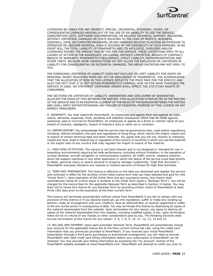

LICENSORS BE LIABLE FOR ANY INDIRECT, SPECIAL, INCIDENTAL, ECONOMIC, COVER, OR CONSEQUENTIAL DAMAGES ARISING OUT OF THE USE OF OR INABILITY TO USE THE SERVICE, SUBSCRIPTION LISTS, SOFTWARE DOCUMENTATION, OR RELATED TECHNICAL SUPPORT, INCLUDING, WITHOUT LIMITATION, DAMAGES OR COSTS RELATING TO THE LOSS OF PROFITS, BUSINESS, GOODWILL, DATA, OR COMPUTER PROGRAMS, OR ANY DAMAGES RELATED TO ACCESS OR EXPOSURE TO OFFENSIVE OR OBSCENE MATERIAL, EVEN IF ADVISED OF THE POSSIBILITY OF SUCH DAMAGES. IN NO EVENT WILL THE TOTAL LIABILITY OF POWERNETIX AND ITS AFFILIATES, SUPPLIERS AND/OR LICENSORS EXCEED THE AMOUNT PAID BY YOU FOR THE SERVICE. THESE LIMITATIONS APPLY TO ALL CAUSES OF ACTION IN THE AGGREGATE, INCLUDING, WITHOUT LIMITATION, BREACH OF CONTRACT, BREACH OF WARRANTY, POWERNETIX'S NEGLIGENCE, STRICT LIABILITY, MISREPRESENTATION AND OTHER TORTS. BECAUSE SOME JURISDICTIONS DO NOT ALLOW THE EXCLUSION OR LIMITATION OF LIABILITY FOR CONSEQUENTIAL OR INCIDENTAL DAMAGES, THE ABOVE LIMITATION MAY NOT APPLY TO YOU.

THE FOREGOING LIMITATION OF LIABILITY DOES NOT EXCLUDE OR LIMIT LIABILITY FOR DEATH OR PERSONAL INJURY RESULTING FROM ANY ACT OR NEGLIGENCE OF POWERNETIX. YOU ACKNOWLEDGE THAT THE ALLOCATION OF RISK IN THIS LICENCE REFLECTS THE PRICE PAID FOR THE SERVICE AND ALSO THE FACT THAT IT IS NOT WITHIN POWERNETIX'S CONTROL HOW OR FOR WHAT PURPOSES THE SERVICE IS USED. NO STATEMENT CONTAINED HEREIN SHALL AFFECT THE STATUTORY RIGHTS OF CONSUMERS.

THE SECTIONS ON LIMITATION OF LIABILITY, WARRANTIES AND DISCLAIMER OF WARRANTIES ALLOCATE THE RISKS OF THIS BETWEEN THE PARTIES. THIS ALLOCATION IS REFLECTED IN THE PRICING OF THE SERVICE AND IS AN ESSENTIAL ELEMENT OF THE BASIS OF THE BARGAIN BETWEEN THE PARTIES AND SHALL APPLY NOTWITHSTANDING ANY FAILURE OF ESSENTIAL PURPOSE OF THIS LICENCE OR ANY REMEDY HEREUNDER.

9. INDEMNITY. You shall indemnify PowerNetIX, its employees and agents from and against all costs, claims, demands, expenses, fines, penalties and liabilities whatsoever which may be made against, sustained, paid or incurred by PowerNetIX, its employees or agents as a direct or indirect result of your breach of contract, negligence, breach of statutory duty or other act or omission.

10. IMPORT/EXPORT. You acknowledge that the service may be governed by laws, rules and/or regulations, including, without limitation, the laws and regulations of Hong Kong, which restrict the import, export and re-export of certain technical data and other materials. You agree that you will not, directly or indirectly, violate any local, state or federal law or regulation of the country or countries in which you use the material, or the export laws of any country that may regulate the import or export of the material.

11. HIGH RISK ACTIVITIES. The service is not fault-tolerant and is not designed or intended for use in hazardous environments requiring fail-safe performance, including without limitation, in the operation of nuclear facilities, aircraft navigation or communication systems, air traffic control, weapons systems, direct life-support machines or any other application in which the failure of the service could lead directly to death, personal injury or severe physical or property damage (collectively, "High Risk Activities"). PowerNetIX expressly disclaims any express or implied warranty of fitness for High Risk Activities.

12. TERM AND TERMINATION. This licence is effective on the date you download and register the service and continues in effect for the duration of the initial licence term that you have selected and paid for (the "Initial Term"). Upon expiration of the Initial Term and any successive terms, this licence shall automatically renew for a term equal in duration to the Initial Term (each a "Renewal Term"). You will be charged for the licence fees for the applicable Renewal Term as described in Section 14 below. You may elect not to renew this licence for any Renewal Term by providing written notice to PowerNetIX at least thirty (30) days prior to the expiration of the then-current term.

This licence will terminate automatically without notice from PowerNetIX if you fail to comply with any provision of this licence or if you become bankrupt, go into liguidation, suffer or make any winding up petition, make an arrangement with your creditors, have an administrator, or receiver appointed or suffer or file any similar action in consequence of debt. You may terminate this licence by destroying all copies of the material downloaded from this website. Upon termination for any reason, you agree to destroy all copies of the material downloaded from this website, including modified copies, if any. Upon termination there will be no refund of any monies or other consideration paid by you. The following Sections shall survive termination of this licence for any reason: 3, 6, 7, 8, 9, 10, 11, 12, 13, 14 and 15.

13. BILLING AND PAYMENT. Upon each automatic Renewal Term, PowerNetIX will automatically charge your account for the applicable licence fee at the then-current licence fee rate, using the credit card information that you previously provided to PowerNetIX. If you received your initial PowerNetIX subscription through a third party purchasing or promotional arrangement, you will need to provide PowerNetIX with valid credit card billing information before your subscription to PowerNetIX can be renewed. You may provide your billing information by accessing the "my account" section of the PowerNetIX website available at www.PowerNetIX.com. PowerNetIX will attempt to notify you prior to